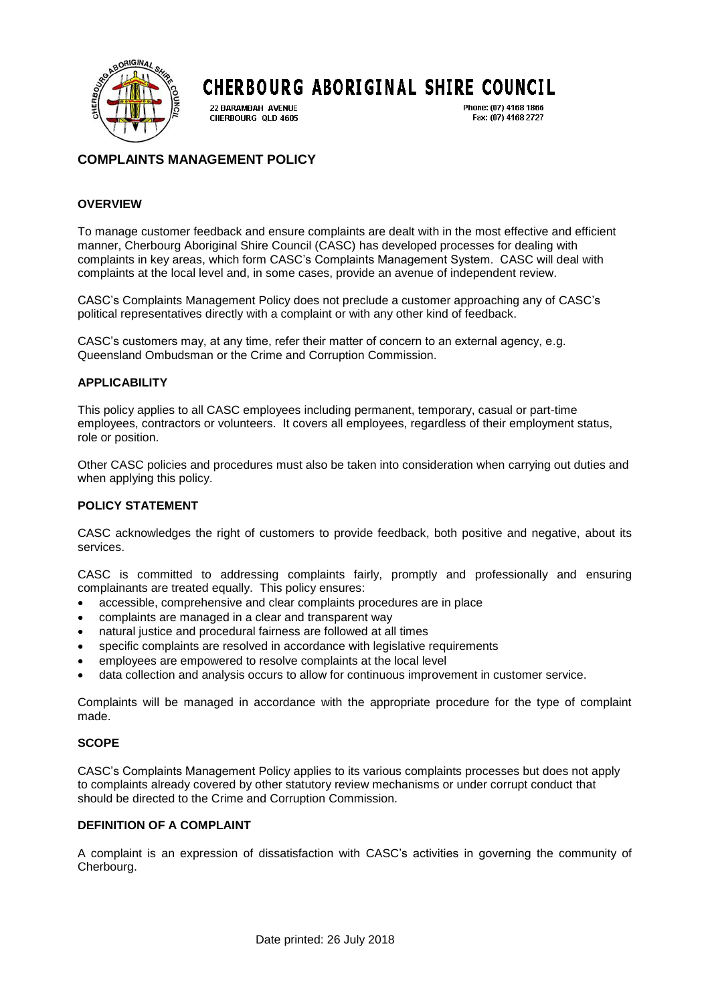

# **CHERBOURG ABORIGINAL SHIRE COUNCIL**

22 BARAMBAH AVENUE CHERBOURG QLD 4605 Phone: (07) 4168 1866 Fax: (07) 4168 2727

# **COMPLAINTS MANAGEMENT POLICY**

# **OVERVIEW**

To manage customer feedback and ensure complaints are dealt with in the most effective and efficient manner, Cherbourg Aboriginal Shire Council (CASC) has developed processes for dealing with complaints in key areas, which form CASC's Complaints Management System. CASC will deal with complaints at the local level and, in some cases, provide an avenue of independent review.

CASC's Complaints Management Policy does not preclude a customer approaching any of CASC's political representatives directly with a complaint or with any other kind of feedback.

CASC's customers may, at any time, refer their matter of concern to an external agency, e.g. Queensland Ombudsman or the Crime and Corruption Commission.

#### **APPLICABILITY**

This policy applies to all CASC employees including permanent, temporary, casual or part-time employees, contractors or volunteers. It covers all employees, regardless of their employment status, role or position.

Other CASC policies and procedures must also be taken into consideration when carrying out duties and when applying this policy.

# **POLICY STATEMENT**

CASC acknowledges the right of customers to provide feedback, both positive and negative, about its services.

CASC is committed to addressing complaints fairly, promptly and professionally and ensuring complainants are treated equally. This policy ensures:

- accessible, comprehensive and clear complaints procedures are in place
- complaints are managed in a clear and transparent way
- natural justice and procedural fairness are followed at all times
- specific complaints are resolved in accordance with legislative requirements
- employees are empowered to resolve complaints at the local level
- data collection and analysis occurs to allow for continuous improvement in customer service.

Complaints will be managed in accordance with the appropriate procedure for the type of complaint made.

# **SCOPE**

CASC's Complaints Management Policy applies to its various complaints processes but does not apply to complaints already covered by other statutory review mechanisms or under corrupt conduct that should be directed to the Crime and Corruption Commission.

# **DEFINITION OF A COMPLAINT**

A complaint is an expression of dissatisfaction with CASC's activities in governing the community of Cherbourg.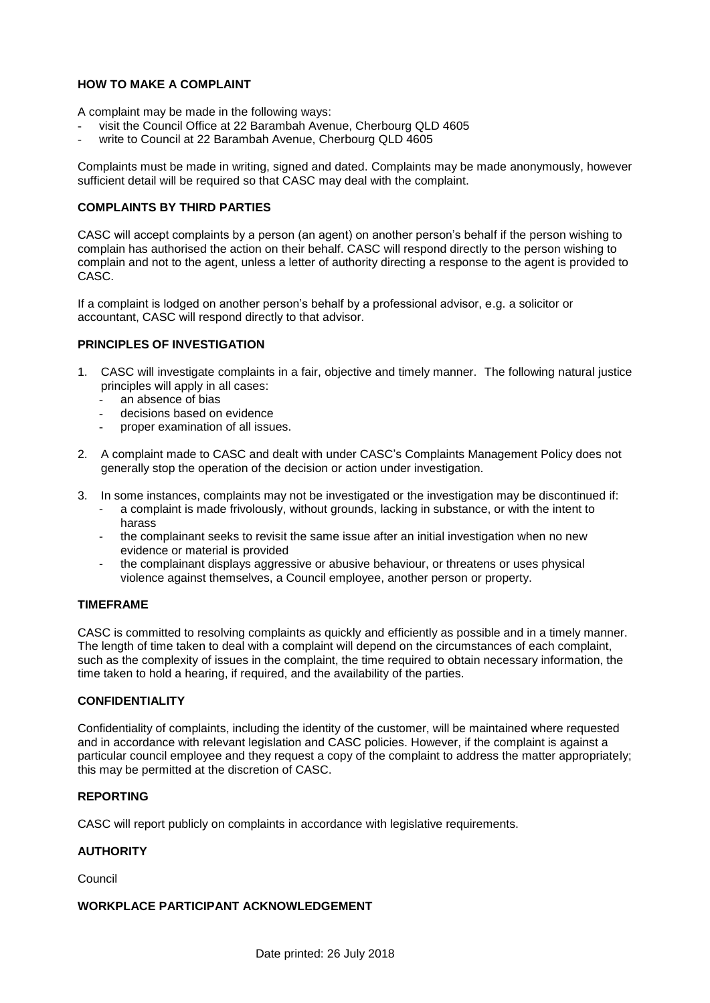# **HOW TO MAKE A COMPLAINT**

A complaint may be made in the following ways:

- visit the Council Office at 22 Barambah Avenue, Cherbourg QLD 4605
- write to Council at 22 Barambah Avenue, Cherbourg QLD 4605

Complaints must be made in writing, signed and dated. Complaints may be made anonymously, however sufficient detail will be required so that CASC may deal with the complaint.

#### **COMPLAINTS BY THIRD PARTIES**

CASC will accept complaints by a person (an agent) on another person's behalf if the person wishing to complain has authorised the action on their behalf. CASC will respond directly to the person wishing to complain and not to the agent, unless a letter of authority directing a response to the agent is provided to CASC.

If a complaint is lodged on another person's behalf by a professional advisor, e.g. a solicitor or accountant, CASC will respond directly to that advisor.

#### **PRINCIPLES OF INVESTIGATION**

- 1. CASC will investigate complaints in a fair, objective and timely manner. The following natural justice principles will apply in all cases:
	- an absence of bias
	- decisions based on evidence
	- proper examination of all issues.
- 2. A complaint made to CASC and dealt with under CASC's Complaints Management Policy does not generally stop the operation of the decision or action under investigation.
- 3. In some instances, complaints may not be investigated or the investigation may be discontinued if:
	- a complaint is made frivolously, without grounds, lacking in substance, or with the intent to harass
	- the complainant seeks to revisit the same issue after an initial investigation when no new evidence or material is provided
	- the complainant displays aggressive or abusive behaviour, or threatens or uses physical violence against themselves, a Council employee, another person or property.

#### **TIMEFRAME**

CASC is committed to resolving complaints as quickly and efficiently as possible and in a timely manner. The length of time taken to deal with a complaint will depend on the circumstances of each complaint, such as the complexity of issues in the complaint, the time required to obtain necessary information, the time taken to hold a hearing, if required, and the availability of the parties.

# **CONFIDENTIALITY**

Confidentiality of complaints, including the identity of the customer, will be maintained where requested and in accordance with relevant legislation and CASC policies. However, if the complaint is against a particular council employee and they request a copy of the complaint to address the matter appropriately; this may be permitted at the discretion of CASC.

#### **REPORTING**

CASC will report publicly on complaints in accordance with legislative requirements.

# **AUTHORITY**

Council

# **WORKPLACE PARTICIPANT ACKNOWLEDGEMENT**